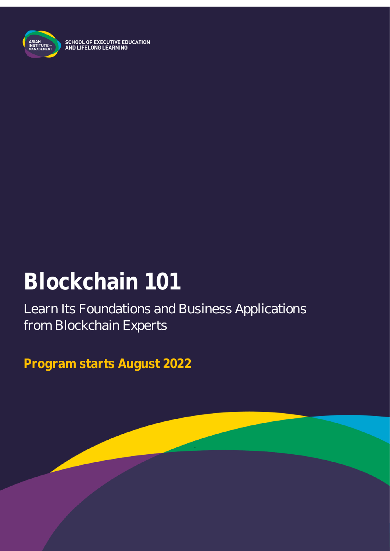

# **Blockchain 101**

Learn Its Foundations and Business Applications from Blockchain Experts

**Program starts August 2022**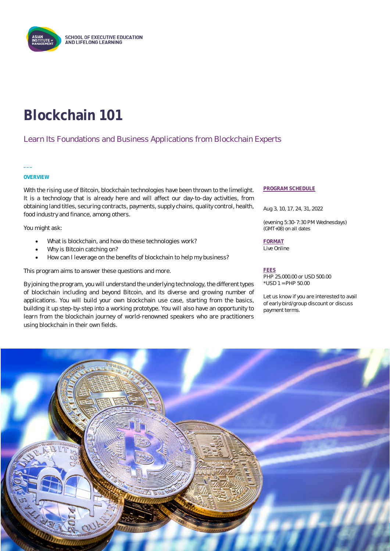

# **Blockchain 101**

#### Learn Its Foundations and Business Applications from Blockchain Experts

#### **OVERVIEW**

**\_\_\_**

With the rising use of Bitcoin, blockchain technologies have been thrown to the limelight. It is a technology that is already here and will affect our day-to-day activities, from obtaining land titles, securing contracts, payments, supply chains, quality control, health, food industry and finance, among others.

You might ask:

- What is blockchain, and how do these technologies work?
- Why is Bitcoin catching on?
- How can I leverage on the benefits of blockchain to help my business?

This program aims to answer these questions and more.

By joining the program, you will understand the underlying technology, the different types of blockchain including and beyond Bitcoin, and its diverse and growing number of applications. You will build your own blockchain use case, starting from the basics, building it up step-by-step into a working prototype. You will also have an opportunity to learn from the blockchain journey of world-renowned speakers who are practitioners using blockchain in their own fields.

#### **PROGRAM SCHEDULE**

Aug 3, 10, 17, 24, 31, 2022

(evening 5:30-7:30 PM Wednesdays) (GMT+08) on all dates

**FORMAT** Live Online

#### **FEES**

PHP 25,000.00 or USD 500.00 \*USD 1 = PHP 50.00

Let us know if you are interested to avail of early bird/group discount or discuss payment terms.

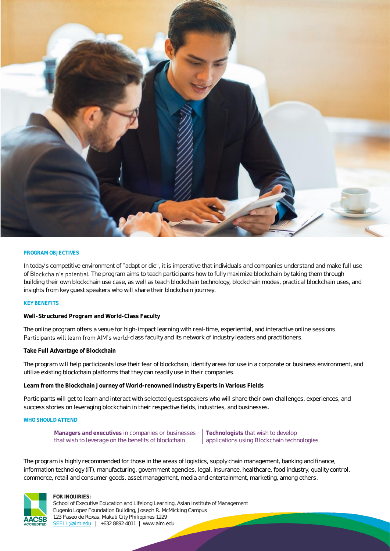

#### **PROGRAM OBJECTIVES**

In today's competitive environment of "adapt or die", it is imperative that individuals and companies understand and make full use of Blockchain's potential. The program aims to teach participants how to fully maximize blockchain by taking them through building their own blockchain use case, as well as teach blockchain technology, blockchain modes, practical blockchain uses, and insights from key guest speakers who will share their blockchain journey.

#### **KEY BENEFITS**

**Well-Structured Program and World-Class Faculty**

The online program offers a venue for high-impact learning with real-time, experiential, and interactive online sessions. Participants will learn from AIM's world-class faculty and its network of industry leaders and practitioners.

**Take Full Advantage of Blockchain**

The program will help participants lose their fear of blockchain, identify areas for use in a corporate or business environment, and utilize existing blockchain platforms that they can readily use in their companies.

**Learn from the Blockchain Journey of World-renowned Industry Experts in Various Fields**

Participants will get to learn and interact with selected guest speakers who will share their own challenges, experiences, and success stories on leveraging blockchain in their respective fields, industries, and businesses.

#### **WHO SHOULD ATTEND**

**Managers and executives** in companies or businesses that wish to leverage on the benefits of blockchain

**Technologists** that wish to develop applications using Blockchain technologies

The program is highly recommended for those in the areas of logistics, supply chain management, banking and finance, information technology (IT), manufacturing, government agencies, legal, insurance, healthcare, food industry, quality control, commerce, retail and consumer goods, asset management, media and entertainment, marketing, among others.



#### **FOR INQUIRIES:**

School of Executive Education and Lifelong Learning, Asian Institute of Management Eugenio Lopez Foundation Building, Joseph R. McMicking Campus 123 Paseo de Roxas, Makati City Philippines 1229 [SEELL@aim.edu](mailto:SEELL@aim.edu) | +632 8892 4011 | www.aim.edu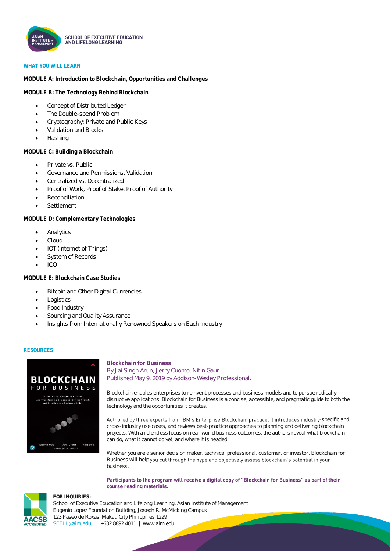

#### **WHAT YOU WILL LEARN**

**MODULE A: Introduction to Blockchain, Opportunities and Challenges**

**MODULE B: The Technology Behind Blockchain**

- Concept of Distributed Ledger
- The Double-spend Problem
- Cryptography: Private and Public Keys
- Validation and Blocks
- Hashing

**MODULE C: Building a Blockchain**

- Private vs. Public
- Governance and Permissions, Validation
- Centralized vs. Decentralized
- Proof of Work, Proof of Stake, Proof of Authority
- Reconciliation
- **Settlement**

**MODULE D: Complementary Technologies**

- **Analytics**
- Cloud
- IOT (Internet of Things)
- System of Records
- $\bullet$  ICO

**MODULE E: Blockchain Case Studies**

- Bitcoin and Other Digital Currencies
- **Logistics**
- Food Industry
- Sourcing and Quality Assurance
- Insights from Internationally Renowned Speakers on Each Industry

#### **RESOURCES**



#### **Blockchain for Business** By Jai Singh Arun, Jerry Cuomo, Nitin Gaur Published May 9, 2019 by Addison-Wesley Professional.

Blockchain enables enterprises to reinvent processes and business models and to pursue radically disruptive applications. Blockchain for Business is a concise, accessible, and pragmatic guide to both the technology and the opportunities it creates.

Authored by three experts from IBM's Enterprise Blockchain practice, it introduces industry-specific and cross-industry use cases, and reviews best-practice approaches to planning and delivering blockchain projects. With a relentless focus on real-world business outcomes, the authors reveal what blockchain can do, what it cannot do yet, and where it is headed.

Whether you are a senior decision maker, technical professional, customer, or investor, Blockchain for Business will help you cut through the hype and objectively assess blockchain's potential in your business.

Participants to the program will receive a digital copy of "Blockchain for Business" as part of their **course reading materials.**



**FOR INQUIRIES:**

School of Executive Education and Lifelong Learning, Asian Institute of Management Eugenio Lopez Foundation Building, Joseph R. McMicking Campus 123 Paseo de Roxas, Makati City Philippines 1229 [SEELL@aim.edu](mailto:SEELL@aim.edu) | +632 8892 4011 | www.aim.edu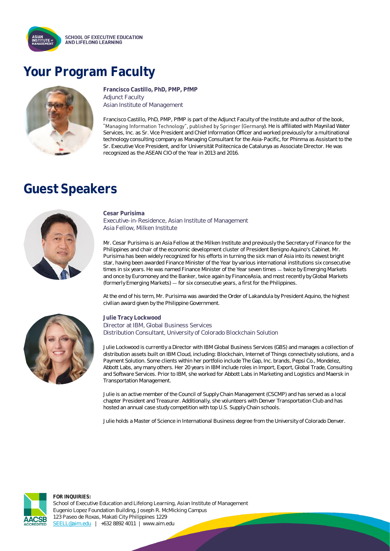

## **Your Program Faculty**



**Francisco Castillo, PhD, PMP, PfMP**  Adjunct Faculty Asian Institute of Management

Francisco Castillo, PhD, PMP, PfMP is part of the Adjunct Faculty of the Institute and author of the book, "Managing Information Technology", published by Springer (Germany). He is affiliated with Maynilad Water Services, Inc. as Sr. Vice President and Chief Information Officer and worked previously for a multinational technology consulting company as Managing Consultant for the Asia-Pacific, for Phinma as Assistant to the Sr. Executive Vice President, and for Universität Politecnica de Catalunya as Associate Director. He was recognized as the ASEAN CIO of the Year in 2013 and 2016.

### **Guest Speakers**



**Cesar Purisima** Executive-in-Residence, Asian Institute of Management Asia Fellow, Milken Institute

Mr. Cesar Purisima is an Asia Fellow at the Milken Institute and previously the Secretary of Finance for the Philippines and chair of the economic development cluster of President Benigno Aquino's Cabinet. Mr. Purisima has been widely recognized for his efforts in turning the sick man of Asia into its newest bright star, having been awarded Finance Minister of the Year by various international institutions six consecutive times in six years. He was named Finance Minister of the Year seven times - twice by Emerging Markets and once by Euromoney and the Banker, twice again by FinanceAsia, and most recently by Global Markets (formerly Emerging Markets) — for six consecutive years, a first for the Philippines.

At the end of his term, Mr. Purisima was awarded the Order of Lakandula by President Aquino, the highest civilian award given by the Philippine Government.



**Julie Tracy Lockwood** Director at IBM, Global Business Services Distribution Consultant, University of Colorado Blockchain Solution

Julie Lockwood is currently a Director with IBM Global Business Services (GBS) and manages a collection of distribution assets built on IBM Cloud, including: Blockchain, Internet of Things connectivity solutions, and a Payment Solution. Some clients within her portfolio include The Gap, Inc. brands, Pepsi Co., Mondelez, Abbott Labs, any many others. Her 20 years in IBM include roles in Import, Export, Global Trade, Consulting and Software Services. Prior to IBM, she worked for Abbott Labs in Marketing and Logistics and Maersk in Transportation Management.

Julie is an active member of the Council of Supply Chain Management (CSCMP) and has served as a local chapter President and Treasurer. Additionally, she volunteers with Denver Transportation Club and has hosted an annual case study competition with top U.S. Supply Chain schools.

Julie holds a Master of Science in International Business degree from the University of Colorado Denver.



**FOR INQUIRIES:** School of Executive Education and Lifelong Learning, Asian Institute of Management Eugenio Lopez Foundation Building, Joseph R. McMicking Campus 123 Paseo de Roxas, Makati City Philippines 1229 [SEELL@aim.edu](mailto:SEELL@aim.edu) | +632 8892 4011 | www.aim.edu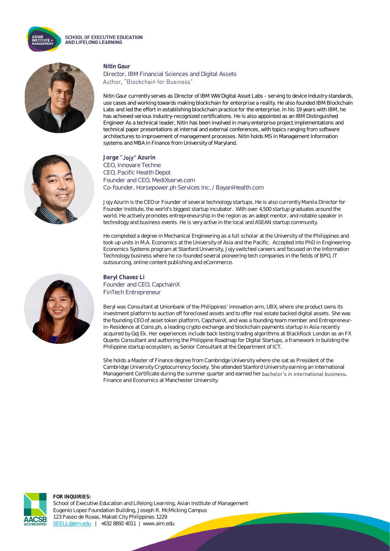

#### **SCHOOL OF EXECUTIVE EDUCATION** AND LIFELONG LEARNING

**Nitin Gaur**





Nitin Gaur currently serves as Director of IBM WW Digital Asset Labs - serving to device industry standards, use cases and working towards making blockchain for enterprise a reality. He also founded IBM Blockchain Labs and led the effort in establishing blockchain practice for the enterprise. In his 19 years with IBM, he has achieved various industry-recognized certifications. He is also appointed as an IBM Distinguished Engineer As a technical leader, Nitin has been involved in many enterprise project implementations and technical paper presentations at internal and external conferences, with topics ranging from software architectures to improvement of management processes. Nitin holds MS in Management Information systems and MBA in Finance from University of Maryland.



Jorge "Jojy" Azurin CEO, Innovare Techne CEO, Pacific Health Depot Founder and CEO, MediXserve.com Co-founder, Horsepower.ph Services Inc. / BayaniHealth.com

Jojy Azurin is the CEO or Founder of several technology startups. He is also currently Manila Director for Founder Institute, the world's biggest startup incubator. With over 4,500 startup graduates around the world. He actively promotes entrepreneurship in the region as an adept mentor, and notable speaker in technology and business events. He is very active in the local and ASEAN startup community.

He completed a degree in Mechanical Engineering as a full scholar at the University of the Philippines and took up units in M.A. Economics at the University of Asia and the Pacific. Accepted into PhD in Engineering-Economics Systems program at Stanford University, Jojy switched careers and focused on the Information Technology business where he co-founded several pioneering tech companies in the fields of BPO, IT outsourcing, online content publishing and eCommerce.



**Beryl Chavez Li** Founder and CEO, CapchainX FinTech Entrepreneur

Beryl was Consultant at Unionbank of the Philippines' innovation arm, UBX, where she product owns its investment platform to auction off foreclosed assets and to offer real estate backed digital assets. She was the founding CEO of asset token platform, CapchainX, and was a founding team member and Entrepreneurin-Residence at Coins.ph, a leading crypto exchange and blockchain payments startup in Asia recently acquired by GoJEk. Her experiences include back testing trading algorithms at BlackRock London as an FX Quants Consultant and authoring the Philippine Roadmap for Digital Startups, a framework in building the Philippine startup ecosystem, as Senior Consultant at the Department of ICT.

She holds a Master of Finance degree from Cambridge University where she sat as President of the Cambridge University Cryptocurrency Society. She attended Stanford University earning an International Management Certificate during the summer quarter and earned her bachelor's in international business, Finance and Economics at Manchester University.



**FOR INQUIRIES:** School of Executive Education and Lifelong Learning, Asian Institute of Management Eugenio Lopez Foundation Building, Joseph R. McMicking Campus 123 Paseo de Roxas, Makati City Philippines 1229 [SEELL@aim.edu](mailto:SEELL@aim.edu) | +632 8892 4011 | www.aim.edu